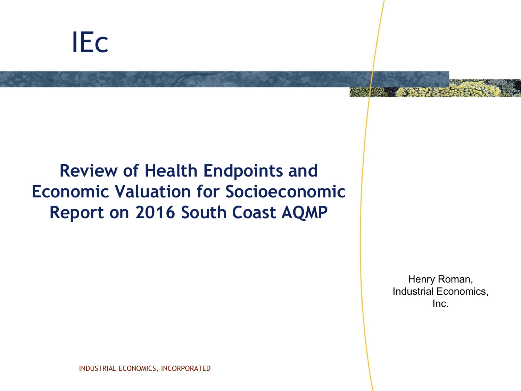# IEc

## **Review of Health Endpoints and Economic Valuation for Socioeconomic Report on 2016 South Coast AQMP**

Henry Roman, Industrial Economics, Inc.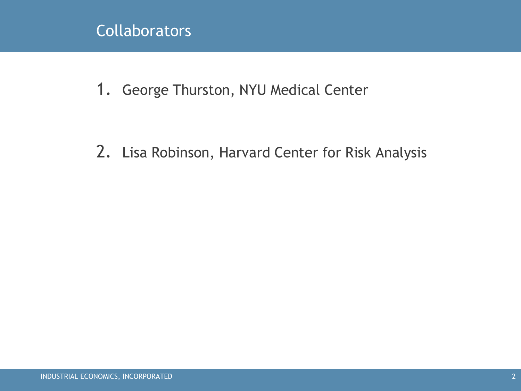### **Collaborators**

1. George Thurston, NYU Medical Center

2. Lisa Robinson, Harvard Center for Risk Analysis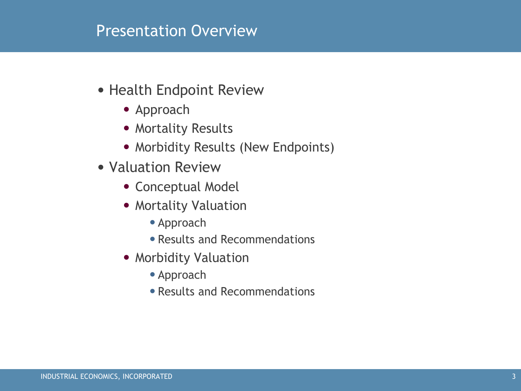#### Presentation Overview

- Health Endpoint Review
	- Approach
	- Mortality Results
	- Morbidity Results (New Endpoints)
- Valuation Review
	- Conceptual Model
	- Mortality Valuation
		- •Approach
		- •Results and Recommendations
	- Morbidity Valuation
		- •Approach
		- •Results and Recommendations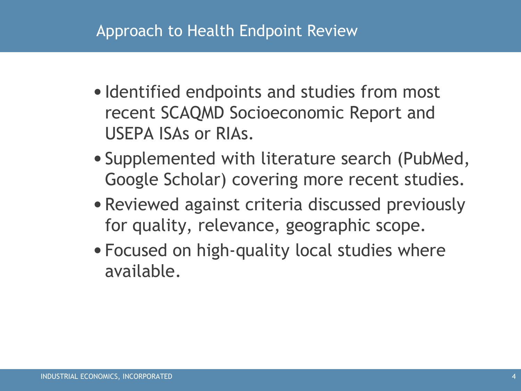### Approach to Health Endpoint Review

- Identified endpoints and studies from most recent SCAQMD Socioeconomic Report and USEPA ISAs or RIAs.
- •Supplemented with literature search (PubMed, Google Scholar) covering more recent studies.
- •Reviewed against criteria discussed previously for quality, relevance, geographic scope.
- •Focused on high-quality local studies where available.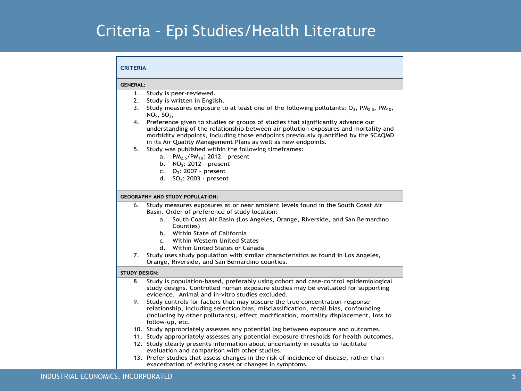### Criteria – Epi Studies/Health Literature

#### **CRITERIA**

#### **GENERAL:**

- 1. Study is peer-reviewed.
- 2. Study is written in English.
- 3. Study measures exposure to at least one of the following pollutants:  $O_3$ ,  $PM_{2.5}$ ,  $PM_{10}$ ,  $NO<sub>x</sub>$ ,  $SO<sub>2</sub>$ ,
- 4. Preference given to studies or groups of studies that significantly advance our understanding of the relationship between air pollution exposures and mortality and morbidity endpoints, including those endpoints previously quantified by the SCAQMD in its Air Quality Management Plans as well as new endpoints.
- 5. Study was published within the following timeframes:
	- a.  $PM_{2.5}/PM_{10}$ : 2012 present
	- b. NO2: 2012 present
	- c.  $Q_3$ : 2007 present
	- d.  $SO<sub>2</sub>: 2003$  present

#### **GEOGRAPHY AND STUDY POPULATION:**

- 6. Study measures exposures at or near ambient levels found in the South Coast Air Basin. Order of preference of study location:
	- a. South Coast Air Basin (Los Angeles, Orange, Riverside, and San Bernardino Counties)
	- b. Within State of California
	- c. Within Western United States
	- d. Within United States or Canada
- 7. Study uses study population with similar characteristics as found in Los Angeles, Orange, Riverside, and San Bernardino counties.

#### **STUDY DESIGN:**

- 8. Study is population-based, preferably using cohort and case-control epidemiological study designs. Controlled human exposure studies may be evaluated for supporting evidence. Animal and in-vitro studies excluded.
- 9. Study controls for factors that may obscure the true concentration-response relationship, including selection bias, misclassification, recall bias, confounding (including by other pollutants), effect modification, mortality displacement, loss to follow-up, etc.
- 10. Study appropriately assesses any potential lag between exposure and outcomes.
- 11. Study appropriately assesses any potential exposure thresholds for health outcomes.
- 12. Study clearly presents information about uncertainty in results to facilitate evaluation and comparison with other studies.
- 13. Prefer studies that assess changes in the risk of incidence of disease, rather than exacerbation of existing cases or changes in symptoms.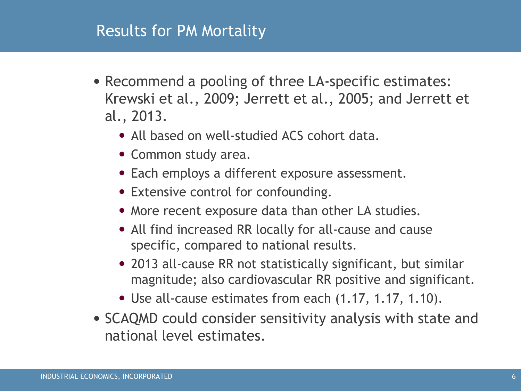#### Results for PM Mortality

- Recommend a pooling of three LA-specific estimates: Krewski et al., 2009; Jerrett et al., 2005; and Jerrett et al., 2013.
	- All based on well-studied ACS cohort data.
	- Common study area.
	- Each employs a different exposure assessment.
	- Extensive control for confounding.
	- More recent exposure data than other LA studies.
	- All find increased RR locally for all-cause and cause specific, compared to national results.
	- 2013 all-cause RR not statistically significant, but similar magnitude; also cardiovascular RR positive and significant.
	- Use all-cause estimates from each (1.17, 1.17, 1.10).
- SCAQMD could consider sensitivity analysis with state and national level estimates.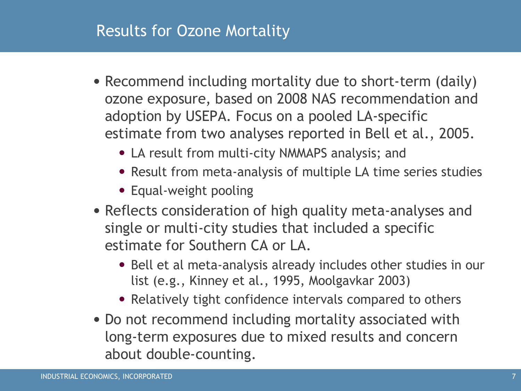#### Results for Ozone Mortality

- Recommend including mortality due to short-term (daily) ozone exposure, based on 2008 NAS recommendation and adoption by USEPA. Focus on a pooled LA-specific estimate from two analyses reported in Bell et al., 2005.
	- LA result from multi-city NMMAPS analysis; and
	- Result from meta-analysis of multiple LA time series studies
	- Equal-weight pooling
- Reflects consideration of high quality meta-analyses and single or multi-city studies that included a specific estimate for Southern CA or LA.
	- Bell et al meta-analysis already includes other studies in our list (e.g., Kinney et al., 1995, Moolgavkar 2003)
	- Relatively tight confidence intervals compared to others
- Do not recommend including mortality associated with long-term exposures due to mixed results and concern about double-counting.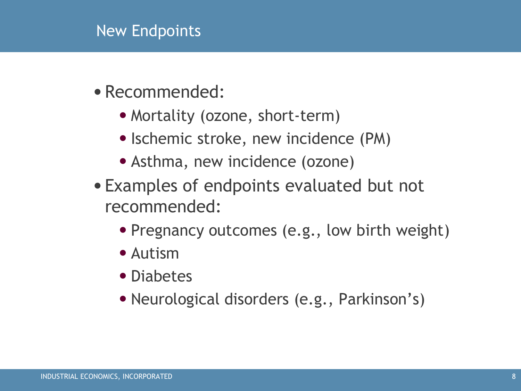### New Endpoints

- •Recommended:
	- Mortality (ozone, short-term)
	- Ischemic stroke, new incidence (PM)
	- Asthma, new incidence (ozone)
- •Examples of endpoints evaluated but not recommended:
	- Pregnancy outcomes (e.g., low birth weight)
	- Autism
	- Diabetes
	- •Neurological disorders (e.g., Parkinson's)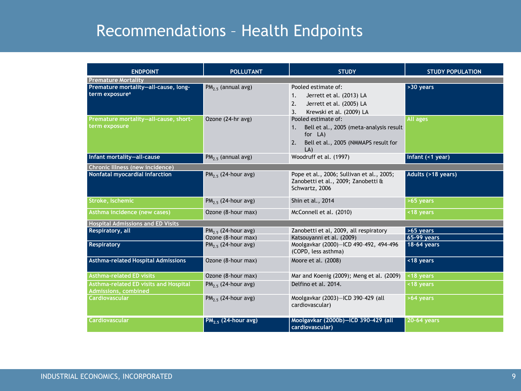### Recommendations – Health Endpoints

| <b>ENDPOINT</b>                                                             | <b>POLLUTANT</b>               | <b>STUDY</b>                                                                                                                         | <b>STUDY POPULATION</b> |  |  |  |
|-----------------------------------------------------------------------------|--------------------------------|--------------------------------------------------------------------------------------------------------------------------------------|-------------------------|--|--|--|
| <b>Premature Mortality</b>                                                  |                                |                                                                                                                                      |                         |  |  |  |
| Premature mortality-all-cause, long-<br>term exposure <sup>a</sup>          | $PM_{2.5}$ (annual avg)        | Pooled estimate of:<br>Jerrett et al. (2013) LA<br>1.<br>2.<br>Jerrett et al. (2005) LA<br>Krewski et al. (2009) LA<br>3.            | $>30$ years             |  |  |  |
| Premature mortality-all-cause, short-<br>term exposure                      | Ozone (24-hr avg)              | Pooled estimate of:<br>Bell et al., 2005 (meta-analysis result<br>1.<br>for LA)<br>Bell et al., 2005 (NMMAPS result for<br>2.<br>LA) | All ages                |  |  |  |
| Infant mortality-all-cause                                                  | $PM_{2.5}$ (annual avg)        | Woodruff et al. (1997)                                                                                                               | Infant (<1 year)        |  |  |  |
| Chronic Illness (new incidence)                                             |                                |                                                                                                                                      |                         |  |  |  |
| Nonfatal myocardial infarction                                              | PM <sub>25</sub> (24-hour avg) | Pope et al., 2006; Sullivan et al., 2005;<br>Zanobetti et al., 2009; Zanobetti &<br>Schwartz, 2006                                   | Adults (>18 years)      |  |  |  |
| Stroke, Ischemic                                                            | $PM2.5$ (24-hour avg)          | Shin et al., 2014                                                                                                                    | >65 years               |  |  |  |
| Asthma incidence (new cases)                                                | Ozone (8-hour max)             | McConnell et al. (2010)                                                                                                              | <18 years               |  |  |  |
| <b>Hospital Admissions and ED Visits</b>                                    |                                |                                                                                                                                      |                         |  |  |  |
| Respiratory, all                                                            | PM <sub>25</sub> (24-hour avg) | Zanobetti et al, 2009, all respiratory                                                                                               | $>65$ years             |  |  |  |
|                                                                             | Ozone (8-hour max)             | Katsouyanni et al. (2009)                                                                                                            | <b>65-99 years</b>      |  |  |  |
| <b>Respiratory</b>                                                          | PM <sub>25</sub> (24-hour avg) | Moolgavkar (2000)-ICD 490-492, 494-496<br>(COPD, less asthma)                                                                        | 18-64 years             |  |  |  |
| <b>Asthma-related Hospital Admissions</b>                                   | Ozone (8-hour max)             | Moore et al. (2008)                                                                                                                  | <18 years               |  |  |  |
| <b>Asthma-related ED visits</b>                                             | Ozone (8-hour max)             | Mar and Koenig (2009); Meng et al. (2009)                                                                                            | <18 years               |  |  |  |
| <b>Asthma-related ED visits and Hospital</b><br><b>Admissions, combined</b> | $PM_{2.5}$ (24-hour avg)       | Delfino et al. 2014.                                                                                                                 | <18 years               |  |  |  |
| <b>Cardiovascular</b>                                                       | $PM2.5$ (24-hour avg)          | Moolgavkar (2003)-ICD 390-429 (all<br>cardiovascular)                                                                                | >64 years               |  |  |  |
| <b>Cardiovascular</b>                                                       | $PM_{2.5}$ (24-hour avg)       | Moolgavkar (2000b)-ICD 390-429 (all<br>cardiovascular)                                                                               | 20-64 years             |  |  |  |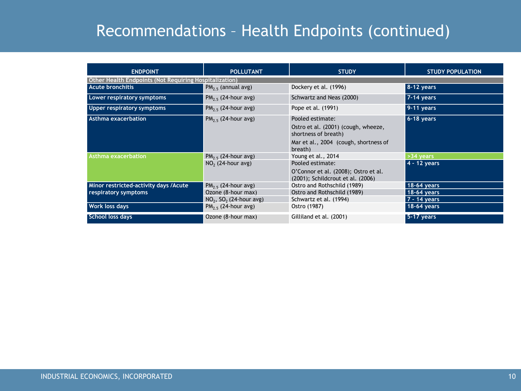### Recommendations – Health Endpoints (continued)

| <b>ENDPOINT</b>                                               | <b>POLLUTANT</b>                      | <b>STUDY</b>                                                              | <b>STUDY POPULATION</b> |  |  |  |
|---------------------------------------------------------------|---------------------------------------|---------------------------------------------------------------------------|-------------------------|--|--|--|
| <b>Other Health Endpoints (Not Requiring Hospitalization)</b> |                                       |                                                                           |                         |  |  |  |
| <b>Acute bronchitis</b>                                       | $PM_{2.5}$ (annual avg)               | Dockery et al. (1996)                                                     | 8-12 years              |  |  |  |
| Lower respiratory symptoms                                    | $PM_{2.5}$ (24-hour avg)              | Schwartz and Neas (2000)                                                  | 7-14 years              |  |  |  |
| Upper respiratory symptoms                                    | $PM_{2.5}$ (24-hour avg)              | Pope et al. (1991)                                                        | $9-11$ years            |  |  |  |
| Asthma exacerbation                                           | $PM_{2.5}$ (24-hour avg)              | Pooled estimate:                                                          | $6-18$ years            |  |  |  |
|                                                               |                                       | Ostro et al. (2001) (cough, wheeze,<br>shortness of breath)               |                         |  |  |  |
|                                                               |                                       | Mar et al., 2004 (cough, shortness of<br>breath)                          |                         |  |  |  |
| <b>Asthma exacerbation</b>                                    | $PM_{2.5}$ (24-hour avg)              | Young et al., 2014                                                        | $>34$ years             |  |  |  |
|                                                               | $NO2$ (24-hour avg)                   | Pooled estimate:                                                          | 4 - 12 years            |  |  |  |
|                                                               |                                       | O'Connor et al. (2008); Ostro et al.<br>(2001); Schildcrout et al. (2006) |                         |  |  |  |
| Minor restricted-activity days /Acute<br>respiratory symptoms | $PM2.5$ (24-hour avg)                 | Ostro and Rothschild (1989)                                               | 18-64 years             |  |  |  |
|                                                               | Ozone (8-hour max)                    | Ostro and Rothschild (1989)                                               | 18-64 years             |  |  |  |
|                                                               | $NO2$ , SO <sub>2</sub> (24-hour avg) | Schwartz et al. (1994)                                                    | 7 - 14 years            |  |  |  |
| Work loss days                                                | $PM_{2.5}$ (24-hour avg)              | Ostro (1987)                                                              | $18-64$ years           |  |  |  |
| <b>School loss days</b>                                       | Ozone (8-hour max)                    | Gilliland et al. (2001)                                                   | $5-17$ years            |  |  |  |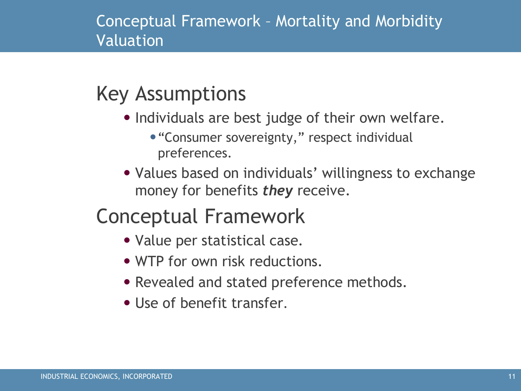### Conceptual Framework – Mortality and Morbidity Valuation

# Key Assumptions

- Individuals are best judge of their own welfare.
	- "Consumer sovereignty," respect individual preferences.
- Values based on individuals' willingness to exchange money for benefits *they* receive.

# Conceptual Framework

- Value per statistical case.
- WTP for own risk reductions.
- Revealed and stated preference methods.
- Use of benefit transfer.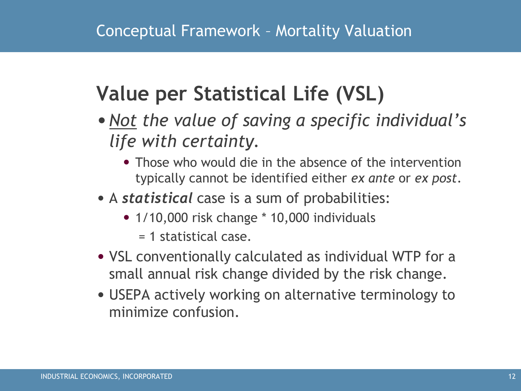# **Value per Statistical Life (VSL)**

- •*Not the value of saving a specific individual's life with certainty.*
	- Those who would die in the absence of the intervention typically cannot be identified either *ex ante* or *ex post*.
- A *statistical* case is a sum of probabilities:
	- 1/10,000 risk change \* 10,000 individuals
		- = 1 statistical case.
- VSL conventionally calculated as individual WTP for a small annual risk change divided by the risk change.
- USEPA actively working on alternative terminology to minimize confusion.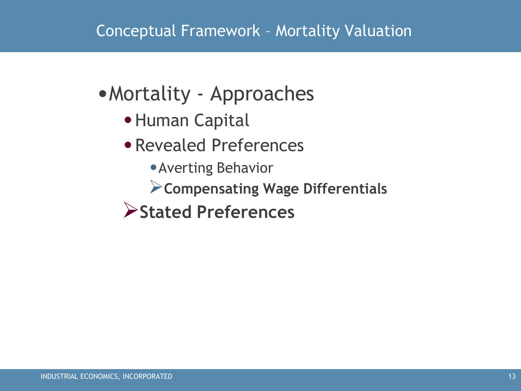### Conceptual Framework – Mortality Valuation

# •Mortality - Approaches

- •Human Capital
- •Revealed Preferences
	- •Averting Behavior
	- **Compensating Wage Differentials**
- **Stated Preferences**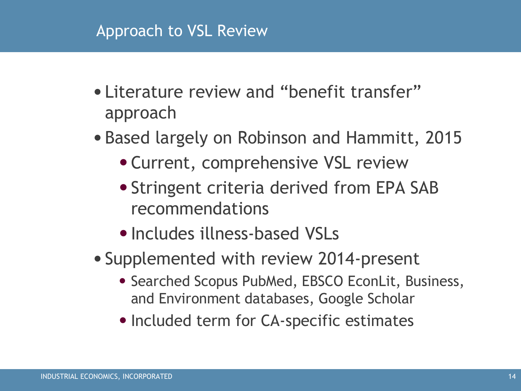#### Approach to VSL Review

- •Literature review and "benefit transfer" approach
- •Based largely on Robinson and Hammitt, 2015
	- •Current, comprehensive VSL review
	- •Stringent criteria derived from EPA SAB recommendations
	- •Includes illness-based VSLs
- •Supplemented with review 2014-present
	- Searched Scopus PubMed, EBSCO EconLit, Business, and Environment databases, Google Scholar
	- Included term for CA-specific estimates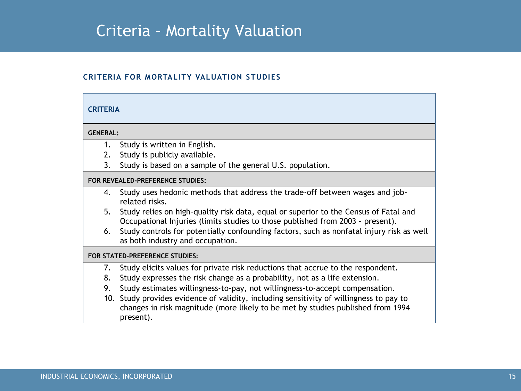#### Criteria – Mortality Valuation

#### **EXHIBIT 2. CRITERIA FOR MORTALITY VALUATION STUDIES**

#### **CRITERIA**

#### **GENERAL:**

- 1. Study is written in English.
- 2. Study is publicly available.
- 3. Study is based on a sample of the general U.S. population.

#### **FOR REVEALED-PREFERENCE STUDIES:**

- 4. Study uses hedonic methods that address the trade-off between wages and jobrelated risks.
- 5. Study relies on high-quality risk data, equal or superior to the Census of Fatal and Occupational Injuries (limits studies to those published from 2003 – present).
- 6. Study controls for potentially confounding factors, such as nonfatal injury risk as well as both industry and occupation.

#### **FOR STATED-PREFERENCE STUDIES:**

- 7. Study elicits values for private risk reductions that accrue to the respondent.
- 8. Study expresses the risk change as a probability, not as a life extension.
- 9. Study estimates willingness-to-pay, not willingness-to-accept compensation.
- 10. Study provides evidence of validity, including sensitivity of willingness to pay to changes in risk magnitude (more likely to be met by studies published from 1994 – present).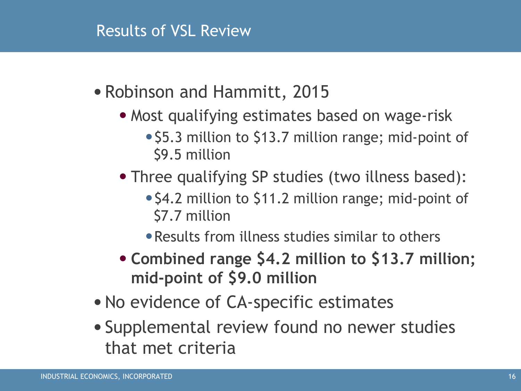#### Results of VSL Review

- •Robinson and Hammitt, 2015
	- Most qualifying estimates based on wage-risk
		- \$5.3 million to \$13.7 million range; mid-point of \$9.5 million
	- Three qualifying SP studies (two illness based):
		- \$4.2 million to \$11.2 million range; mid-point of \$7.7 million
		- •Results from illness studies similar to others
	- **Combined range \$4.2 million to \$13.7 million; mid-point of \$9.0 million**
- •No evidence of CA-specific estimates
- •Supplemental review found no newer studies that met criteria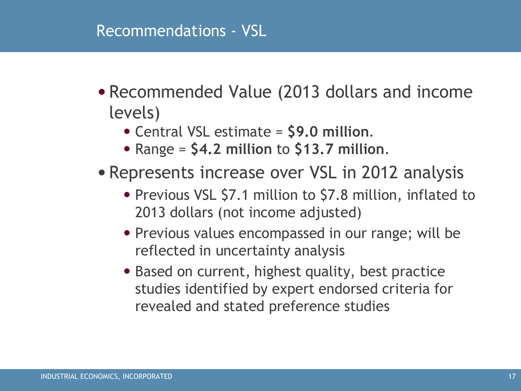#### Recommendations - VSL

- •Recommended Value (2013 dollars and income levels)
	- Central VSL estimate = **\$9.0 million**.
	- Range = **\$4.2 million** to **\$13.7 million**.
- •Represents increase over VSL in 2012 analysis
	- Previous VSL \$7.1 million to \$7.8 million, inflated to 2013 dollars (not income adjusted)
	- Previous values encompassed in our range; will be reflected in uncertainty analysis
	- Based on current, highest quality, best practice studies identified by expert endorsed criteria for revealed and stated preference studies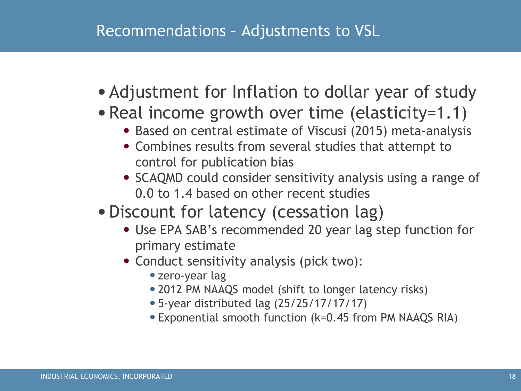### Recommendations – Adjustments to VSL

- Adjustment for Inflation to dollar year of study
- Real income growth over time (elasticity=1.1)
	- Based on central estimate of Viscusi (2015) meta-analysis
	- Combines results from several studies that attempt to control for publication bias
	- SCAQMD could consider sensitivity analysis using a range of 0.0 to 1.4 based on other recent studies
- •Discount for latency (cessation lag)
	- Use EPA SAB's recommended 20 year lag step function for primary estimate
	- Conduct sensitivity analysis (pick two):
		- •zero-year lag
		- •2012 PM NAAQS model (shift to longer latency risks)
		- •5-year distributed lag (25/25/17/17/17)
		- •Exponential smooth function (k=0.45 from PM NAAQS RIA)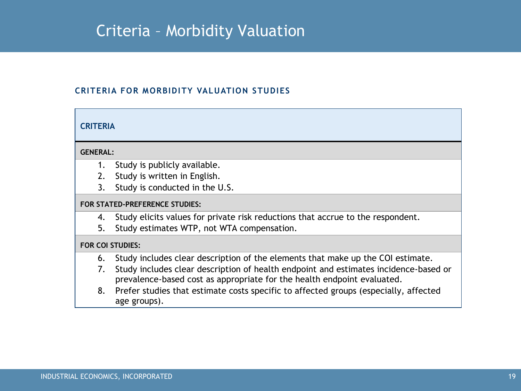### Criteria – Morbidity Valuation

#### **CRITERIA FOR MORBIDITY VALUATION STUDIES**

#### **CRITERIA GENERAL:** 1. Study is publicly available. 2. Study is written in English. 3. Study is conducted in the U.S. **FOR STATED-PREFERENCE STUDIES:** 4. Study elicits values for private risk reductions that accrue to the respondent. 5. Study estimates WTP, not WTA compensation. **FOR COI STUDIES:** 6. Study includes clear description of the elements that make up the COI estimate. 7. Study includes clear description of health endpoint and estimates incidence-based or prevalence-based cost as appropriate for the health endpoint evaluated. 8. Prefer studies that estimate costs specific to affected groups (especially, affected age groups).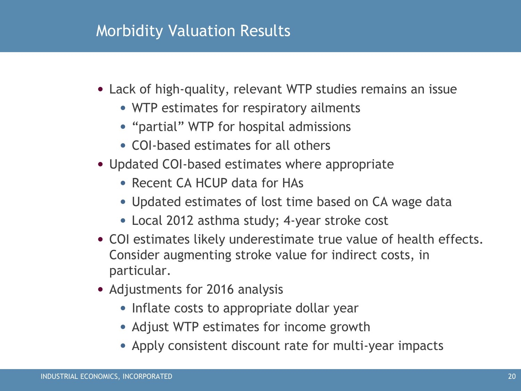#### Morbidity Valuation Results

- Lack of high-quality, relevant WTP studies remains an issue
	- WTP estimates for respiratory ailments
	- "partial" WTP for hospital admissions
	- COI-based estimates for all others
- Updated COI-based estimates where appropriate
	- Recent CA HCUP data for HAs
	- Updated estimates of lost time based on CA wage data
	- Local 2012 asthma study; 4-year stroke cost
- COI estimates likely underestimate true value of health effects. Consider augmenting stroke value for indirect costs, in particular.
- Adjustments for 2016 analysis
	- Inflate costs to appropriate dollar year
	- Adjust WTP estimates for income growth
	- Apply consistent discount rate for multi-year impacts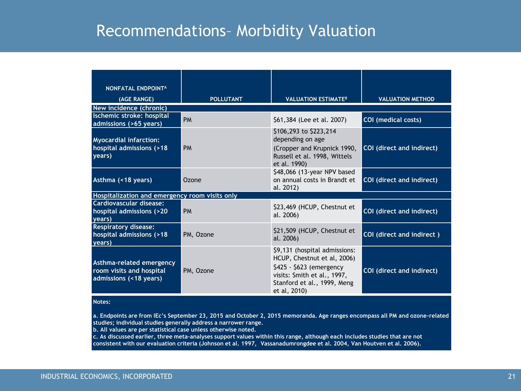### Recommendations– Morbidity Valuation

| <b>NONFATAL ENDPOINTA</b>                                                      |                  |                                                                                                                                                                        |                           |  |
|--------------------------------------------------------------------------------|------------------|------------------------------------------------------------------------------------------------------------------------------------------------------------------------|---------------------------|--|
| (AGE RANGE)                                                                    | <b>POLLUTANT</b> | <b>VALUATION ESTIMATEB</b>                                                                                                                                             | <b>VALUATION METHOD</b>   |  |
| New incidence (chronic)                                                        |                  |                                                                                                                                                                        |                           |  |
| Ischemic stroke: hospital<br>admissions (>65 years)                            | PM               | \$61,384 (Lee et al. 2007)                                                                                                                                             | COI (medical costs)       |  |
| <b>Myocardial infarction:</b><br>hospital admissions (>18<br>years)            | <b>PM</b>        | \$106,293 to \$223,214<br>depending on age<br>(Cropper and Krupnick 1990,<br>Russell et al. 1998, Wittels<br>et al. 1990)                                              | COI (direct and indirect) |  |
| Asthma (<18 years)                                                             | Ozone            | \$48,066 (13-year NPV based<br>on annual costs in Brandt et<br>al. 2012)                                                                                               | COI (direct and indirect) |  |
| Hospitalization and emergency room visits only                                 |                  |                                                                                                                                                                        |                           |  |
| <b>Cardiovascular disease:</b><br>hospital admissions (>20<br>years)           | <b>PM</b>        | \$23,469 (HCUP, Chestnut et<br>al. 2006)                                                                                                                               | COI (direct and indirect) |  |
| <b>Respiratory disease:</b><br>hospital admissions (>18<br>years)              | PM, Ozone        | \$21,509 (HCUP, Chestnut et<br>al. 2006)                                                                                                                               | COI (direct and indirect) |  |
| Asthma-related emergency<br>room visits and hospital<br>admissions (<18 years) | PM, Ozone        | \$9,131 (hospital admissions:<br>HCUP, Chestnut et al, 2006)<br>\$425 - \$623 (emergency<br>visits: Smith et al., 1997,<br>Stanford et al., 1999, Meng<br>et al, 2010) | COI (direct and indirect) |  |

#### **Notes:**

**a. Endpoints are from IEc's September 23, 2015 and October 2, 2015 memoranda. Age ranges encompass all PM and ozone-related studies; individual studies generally address a narrower range.**

**b. All values are per statistical case unless otherwise noted.**

**c. As discussed earlier, three meta-analyses support values within this range, although each includes studies that are not consistent with our evaluation criteria (Johnson et al. 1997, Vassanadumrongdee et al. 2004, Van Houtven et al. 2006).**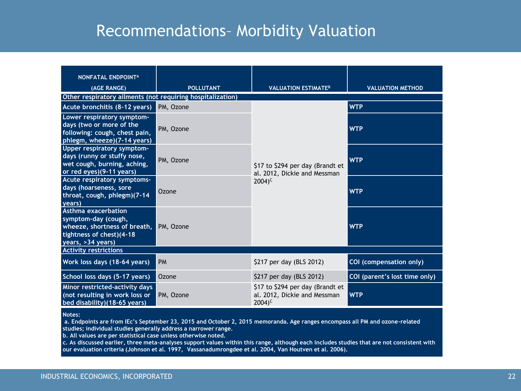### Recommendations– Morbidity Valuation

| <b>NONFATAL ENDPOINTA</b><br>(AGE RANGE)                                                                                    | <b>POLLUTANT</b> | <b>VALUATION ESTIMATE<sup>B</sup></b>                                                   | <b>VALUATION METHOD</b>       |  |  |
|-----------------------------------------------------------------------------------------------------------------------------|------------------|-----------------------------------------------------------------------------------------|-------------------------------|--|--|
| Other respiratory ailments (not requiring hospitalization)                                                                  |                  |                                                                                         |                               |  |  |
| Acute bronchitis (8-12 years)                                                                                               | PM, Ozone        |                                                                                         | <b>WTP</b>                    |  |  |
| Lower respiratory symptom-<br>days (two or more of the<br>following: cough, chest pain,<br>phlegm, wheeze)(7-14 years)      | PM, Ozone        | \$17 to \$294 per day (Brandt et<br>al. 2012, Dickie and Messman<br>$2004$ <sup>c</sup> | <b>WTP</b>                    |  |  |
| Upper respiratory symptom-<br>days (runny or stuffy nose,<br>wet cough, burning, aching,<br>or red eyes)(9-11 years)        | PM, Ozone        |                                                                                         | <b>WTP</b>                    |  |  |
| Acute respiratory symptoms-<br>days (hoarseness, sore<br>throat, cough, phlegm)(7-14<br>years)                              | Ozone            |                                                                                         | <b>WTP</b>                    |  |  |
| Asthma exacerbation<br>symptom-day (cough,<br>wheeze, shortness of breath,<br>tightness of chest)(4-18<br>years, >34 years) | PM, Ozone        |                                                                                         | <b>WTP</b>                    |  |  |
| <b>Activity restrictions</b>                                                                                                |                  |                                                                                         |                               |  |  |
| Work loss days (18-64 years)                                                                                                | <b>PM</b>        | \$217 per day (BLS 2012)                                                                | COI (compensation only)       |  |  |
| School loss days (5-17 years)                                                                                               | Ozone            | \$217 per day (BLS 2012)                                                                | COI (parent's lost time only) |  |  |
| Minor restricted-activity days<br>(not resulting in work loss or<br>bed disability)(18-65 years)                            | PM, Ozone        | \$17 to \$294 per day (Brandt et<br>al. 2012, Dickie and Messman<br>$2004$ <sup>c</sup> | <b>WTP</b>                    |  |  |

**Notes:**

**a. Endpoints are from IEc's September 23, 2015 and October 2, 2015 memoranda. Age ranges encompass all PM and ozone-related studies; individual studies generally address a narrower range.**

**b. All values are per statistical case unless otherwise noted.**

**c. As discussed earlier, three meta-analyses support values within this range, although each includes studies that are not consistent with our evaluation criteria (Johnson et al. 1997, Vassanadumrongdee et al. 2004, Van Houtven et al. 2006).**